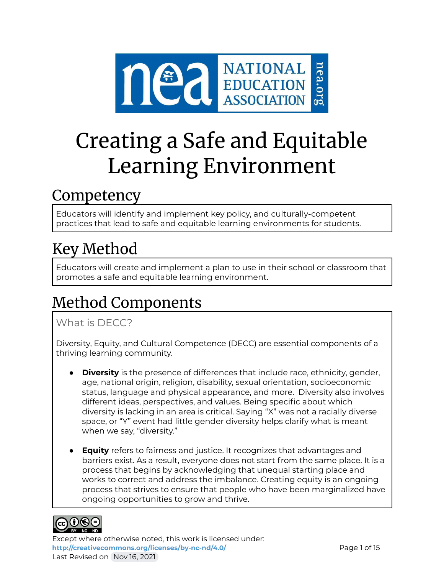

# Creating a Safe and Equitable Learning Environment

## Competency

Educators will identify and implement key policy, and culturally-competent practices that lead to safe and equitable learning environments for students.

# Key Method

Educators will create and implement a plan to use in their school or classroom that promotes a safe and equitable learning environment.

# Method Components

### What is DFCC?

Diversity, Equity, and Cultural Competence (DECC) are essential components of a thriving learning community.

- **Diversity** is the presence of differences that include race, ethnicity, gender, age, national origin, religion, disability, sexual orientation, socioeconomic status, language and physical appearance, and more. Diversity also involves different ideas, perspectives, and values. Being specific about which diversity is lacking in an area is critical. Saying "X" was not a racially diverse space, or "Y" event had little gender diversity helps clarify what is meant when we say, "diversity."
- **Equity** refers to fairness and justice. It recognizes that advantages and barriers exist. As a result, everyone does not start from the same place. It is a process that begins by acknowledging that unequal starting place and works to correct and address the imbalance. Creating equity is an ongoing process that strives to ensure that people who have been marginalized have ongoing opportunities to grow and thrive.

# ெ⊕ெ

Except where otherwise noted, this work is licensed under: <http://creativecommons.org/licenses/by-nc-nd/4.0/> **Page 1 of 15** Last Revised on Nov 16, 2021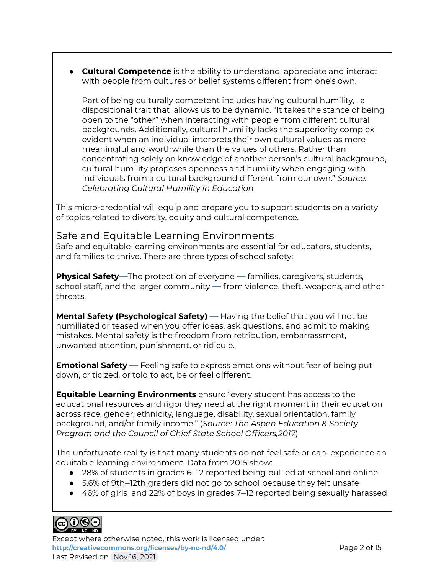● **Cultural Competence** is the ability to understand, appreciate and interact with people from cultures or belief systems different from one's own.

Part of being culturally competent includes having cultural humility, . a dispositional trait that allows us to be dynamic. "It takes the stance of being open to the "other" when interacting with people from different cultural backgrounds. Additionally, cultural humility lacks the superiority complex evident when an individual interprets their own cultural values as more meaningful and worthwhile than the values of others. Rather than concentrating solely on knowledge of another person's cultural background, cultural humility proposes openness and humility when engaging with individuals from a cultural background different from our own." *Source: Celebrating Cultural Humility in Education*

This micro-credential will equip and prepare you to support students on a variety of topics related to diversity, equity and cultural competence.

### Safe and Equitable Learning Environments

Safe and equitable learning environments are essential for educators, students, and families to thrive. There are three types of school safety:

**Physical Safety**—The protection of everyone — families, caregivers, students, school staff, and the larger community — from violence, theft, weapons, and other threats.

**Mental Safety (Psychological Safety)** — Having the belief that you will not be humiliated or teased when you offer ideas, ask questions, and admit to making mistakes. Mental safety is the freedom from retribution, embarrassment, unwanted attention, punishment, or ridicule.

**Emotional Safety** — Feeling safe to express emotions without fear of being put down, criticized, or told to act, be or feel different.

**Equitable Learning Environments** ensure "every student has access to the educational resources and rigor they need at the right moment in their education across race, gender, ethnicity, language, disability, sexual orientation, family background, and/or family income." (*Source: The Aspen Education & Society Program and the Council of Chief State School Officers,2017*)

The unfortunate reality is that many students do not feel safe or can experience an equitable learning environment. Data from 2015 show:

- 28% of students in grades 6–12 reported being bullied at school and online
- 5.6% of 9th–12th graders did not go to school because they felt unsafe
- 46% of girls and 22% of boys in grades 7–12 reported being sexually harassed

### ெ⊕ெ

Except where otherwise noted, this work is licensed under: **<http://creativecommons.org/licenses/by-nc-nd/4.0/>** Page 2 of 15 Last Revised on Nov 16, 2021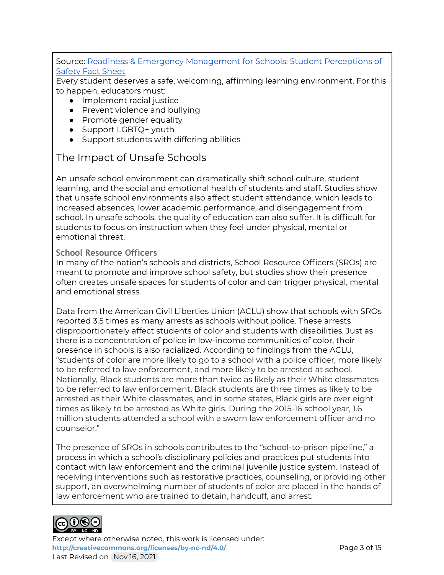#### Source: Readiness & Emergency [Management](https://rems.ed.gov/docs/Student_Perceptions_Safety_Fact_Sheet_508C.pdf) for Schools: Student Perceptions of [Safety](https://rems.ed.gov/docs/Student_Perceptions_Safety_Fact_Sheet_508C.pdf) Fact Sheet

Every student deserves a safe, welcoming, affirming learning environment. For this to happen, educators must:

- Implement racial justice
- Prevent violence and bullying
- Promote gender equality
- Support LGBTQ+ youth
- Support students with differing abilities

### The Impact of Unsafe Schools

An unsafe school environment can dramatically shift school culture, student learning, and the social and emotional health of students and staff. Studies show that unsafe school environments also affect student attendance, which leads to increased absences, lower academic performance, and disengagement from school. In unsafe schools, the quality of education can also suffer. It is difficult for students to focus on instruction when they feel under physical, mental or emotional threat.

#### **School Resource Officers**

In many of the nation's schools and districts, School Resource Officers (SROs) are meant to promote and improve school safety, but studies show their presence often creates unsafe spaces for students of color and can trigger physical, mental and emotional stress.

Data from the American Civil Liberties Union (ACLU) show that schools with SROs reported 3.5 times as many arrests as schools without police. These arrests disproportionately affect students of color and students with disabilities. Just as there is a concentration of police in low-income communities of color, their presence in schools is also racialized. According to findings from the ACLU, "students of color are more likely to go to a school with a police officer, more likely to be referred to law enforcement, and more likely to be arrested at school. Nationally, Black students are more than twice as likely as their White classmates to be referred to law enforcement. Black students are three times as likely to be arrested as their White classmates, and in some states, Black girls are over eight times as likely to be arrested as White girls. During the 2015-16 school year, 1.6 million students attended a school with a sworn law enforcement officer and no counselor."

The presence of SROs in schools contributes to the "school-to-prison pipeline," a process in which a school's disciplinary policies and practices put students into contact with law enforcement and the criminal juvenile justice system. Instead of receiving interventions such as restorative practices, counseling, or providing other support, an overwhelming number of students of color are placed in the hands of law enforcement who are trained to detain, handcuff, and arrest.



Except where otherwise noted, this work is licensed under: <http://creativecommons.org/licenses/by-nc-nd/4.0/> **Page 3 of 15** Last Revised on Nov 16, 2021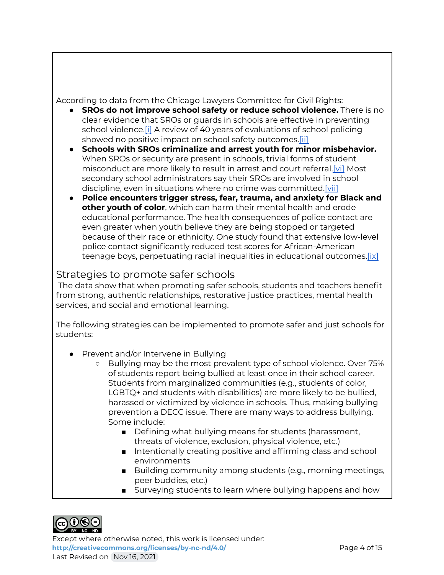According to data from the Chicago Lawyers Committee for Civil Rights:

- **SROs do not improve school safety or reduce school violence.** There is no clear evidence that SROs or guards in schools are effective in preventing school violence.[\[i\]](https://www.clccrul.org/blog/2020/6/23/research-sros#_edn1) A review of 40 years of evaluations of school policing showed no positive impact on school safety outcomes.[\[ii\]](https://www.clccrul.org/blog/2020/6/23/research-sros#_edn2)
- **Schools with SROs criminalize and arrest youth for minor misbehavior.** When SROs or security are present in schools, trivial forms of student misconduct are more likely to result in arrest and court referral[.\[vi\]](https://www.clccrul.org/blog/2020/6/23/research-sros#_edn6) Most secondary school administrators say their SROs are involved in school discipline, even in situations where no crime was committed[.\[vii\]](https://www.clccrul.org/blog/2020/6/23/research-sros#_edn7)
- **Police encounters trigger stress, fear, trauma, and anxiety for Black and other youth of color**, which can harm their mental health and erode educational performance. The health consequences of police contact are even greater when youth believe they are being stopped or targeted because of their race or ethnicity. One study found that extensive low-level police contact significantly reduced test scores for African-American teenage boys, perpetuating racial inequalities in educational outcomes.[\[ix\]](https://www.clccrul.org/blog/2020/6/23/research-sros#_edn9)

### Strategies to promote safer schools

The data show that when promoting safer schools, students and teachers benefit from strong, authentic relationships, restorative justice practices, mental health services, and social and emotional learning.

The following strategies can be implemented to promote safer and just schools for students:

- Prevent and/or Intervene in Bullying
	- Bullying may be the most prevalent type of school violence. Over 75% of students report being bullied at least once in their school career. Students from marginalized communities (e.g., students of color, LGBTQ+ and students with disabilities) are more likely to be bullied, harassed or victimized by violence in schools. Thus, making bullying prevention a DECC issue. There are many ways to address bullying. Some include:
		- Defining what bullying means for students (harassment, threats of violence, exclusion, physical violence, etc.)
		- Intentionally creating positive and affirming class and school environments
		- Building community among students (e.g., morning meetings, peer buddies, etc.)
		- Surveying students to learn where bullying happens and how



Except where otherwise noted, this work is licensed under: **<http://creativecommons.org/licenses/by-nc-nd/4.0/>** Page 4 of 15 Last Revised on Nov 16, 2021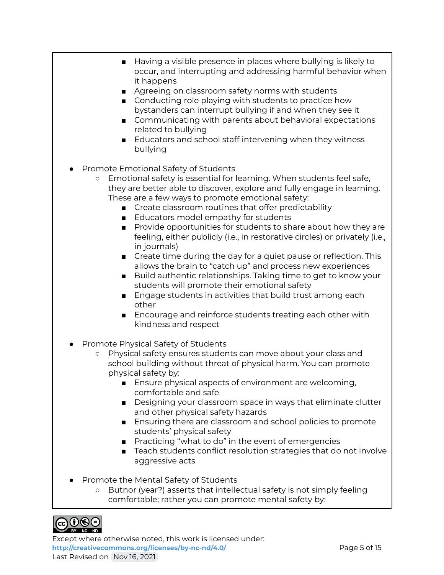- Having a visible presence in places where bullying is likely to occur, and interrupting and addressing harmful behavior when it happens
- Agreeing on classroom safety norms with students
- Conducting role playing with students to practice how bystanders can interrupt bullying if and when they see it
- Communicating with parents about behavioral expectations related to bullying
- Educators and school staff intervening when they witness bullying
- Promote Emotional Safety of Students
	- Emotional safety is essential for learning. When students feel safe, they are better able to discover, explore and fully engage in learning. These are a few ways to promote emotional safety:
		- Create classroom routines that offer predictability
		- Educators model empathy for students
		- Provide opportunities for students to share about how they are feeling, either publicly (i.e., in restorative circles) or privately (i.e., in journals)
		- Create time during the day for a quiet pause or reflection. This allows the brain to "catch up" and process new experiences
		- Build authentic relationships. Taking time to get to know your students will promote their emotional safety
		- Engage students in activities that build trust among each other
		- Encourage and reinforce students treating each other with kindness and respect
- Promote Physical Safety of Students
	- Physical safety ensures students can move about your class and school building without threat of physical harm. You can promote physical safety by:
		- Ensure physical aspects of environment are welcoming, comfortable and safe
		- Designing your classroom space in ways that eliminate clutter and other physical safety hazards
		- Ensuring there are classroom and school policies to promote students' physical safety
		- Practicing "what to do" in the event of emergencies
		- Teach students conflict resolution strategies that do not involve aggressive acts
- Promote the Mental Safety of Students
	- Butnor (year?) asserts that intellectual safety is not simply feeling comfortable; rather you can promote mental safety by:



Except where otherwise noted, this work is licensed under: **<http://creativecommons.org/licenses/by-nc-nd/4.0/>** Page 5 of 15 Last Revised on Nov 16, 2021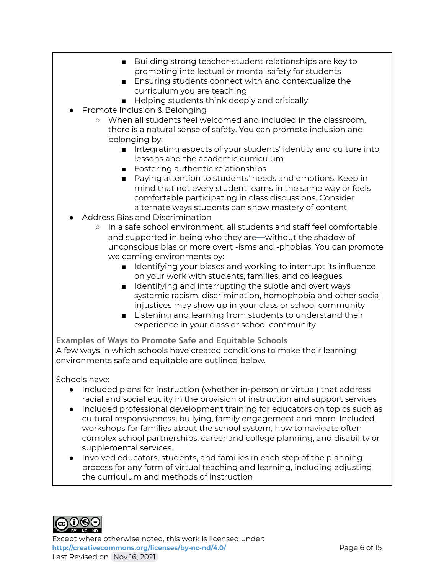- Building strong teacher-student relationships are key to promoting intellectual or mental safety for students
- Ensuring students connect with and contextualize the curriculum you are teaching
- Helping students think deeply and critically
- Promote Inclusion & Belonging
	- When all students feel welcomed and included in the classroom, there is a natural sense of safety. You can promote inclusion and belonging by:
		- Integrating aspects of your students' identity and culture into lessons and the academic curriculum
		- Fostering authentic relationships
		- Paying attention to students' needs and emotions. Keep in mind that not every student learns in the same way or feels comfortable participating in class discussions. Consider alternate ways students can show mastery of content
- Address Bias and Discrimination
	- In a safe school environment, all students and staff feel comfortable and supported in being who they are—without the shadow of unconscious bias or more overt -isms and -phobias. You can promote welcoming environments by:
		- Identifying your biases and working to interrupt its influence on your work with students, families, and colleagues
		- Identifying and interrupting the subtle and overt ways systemic racism, discrimination, homophobia and other social injustices may show up in your class or school community
		- Listening and learning from students to understand their experience in your class or school community

**Examples of Ways to Promote Safe and Equitable Schools** A few ways in which schools have created conditions to make their learning environments safe and equitable are outlined below.

Schools have:

- Included plans for instruction (whether in-person or virtual) that address racial and social equity in the provision of instruction and support services
- Included professional development training for educators on topics such as cultural responsiveness, bullying, family engagement and more. Included workshops for families about the school system, how to navigate often complex school partnerships, career and college planning, and disability or supplemental services.
- Involved educators, students, and families in each step of the planning process for any form of virtual teaching and learning, including adjusting the curriculum and methods of instruction



Except where otherwise noted, this work is licensed under: <http://creativecommons.org/licenses/by-nc-nd/4.0/><br>
Page 6 of 15 Last Revised on Nov 16, 2021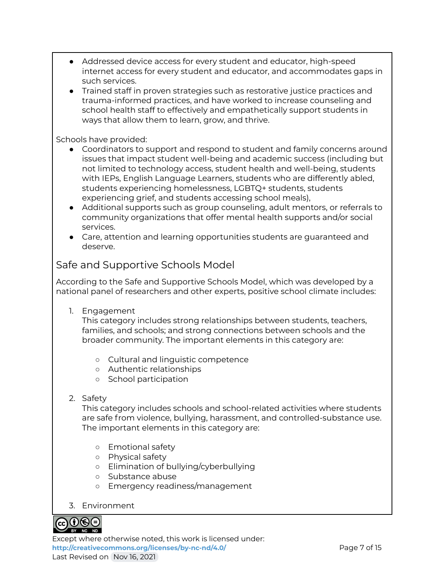- Addressed device access for every student and educator, high-speed internet access for every student and educator, and accommodates gaps in such services.
- Trained staff in proven strategies such as restorative justice practices and trauma-informed practices, and have worked to increase counseling and school health staff to effectively and empathetically support students in ways that allow them to learn, grow, and thrive.

Schools have provided:

- Coordinators to support and respond to student and family concerns around issues that impact student well-being and academic success (including but not limited to technology access, student health and well-being, students with IEPs, English Language Learners, students who are differently abled, students experiencing homelessness, LGBTQ+ students, students experiencing grief, and students accessing school meals),
- Additional supports such as group counseling, adult mentors, or referrals to community organizations that offer mental health supports and/or social services.
- Care, attention and learning opportunities students are guaranteed and deserve.

### Safe and Supportive Schools Model

According to the Safe and Supportive Schools Model, which was developed by a national panel of researchers and other experts, positive school climate includes:

1. Engagement

This category includes strong relationships between students, teachers, families, and schools; and strong connections between schools and the broader community. The important elements in this category are:

- Cultural and linguistic competence
- Authentic relationships
- School participation
- 2. Safety

This category includes schools and school-related activities where students are safe from violence, bullying, harassment, and controlled-substance use. The important elements in this category are:

- Emotional safety
- Physical safety
- Elimination of bullying/cyberbullying
- Substance abuse
- Emergency readiness/management
- 3. Environment



Except where otherwise noted, this work is licensed under: **<http://creativecommons.org/licenses/by-nc-nd/4.0/>** Page 7 of 15 Last Revised on Nov 16, 2021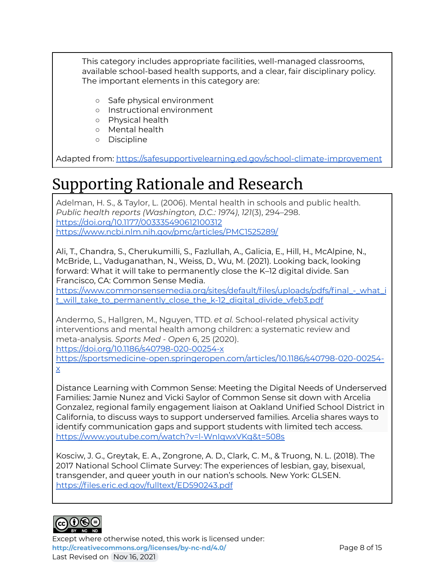This category includes appropriate facilities, well-managed classrooms, available school-based health supports, and a clear, fair disciplinary policy. The important elements in this category are:

- Safe physical environment
- Instructional environment
- Physical health
- Mental health
- Discipline

Adapted from: <https://safesupportivelearning.ed.gov/school-climate-improvement>

# Supporting Rationale and Research

Adelman, H. S., & Taylor, L. (2006). Mental health in schools and public health. *Public health reports (Washington, D.C.: 1974)*, *121*(3), 294–298. <https://doi.org/10.1177/003335490612100312> <https://www.ncbi.nlm.nih.gov/pmc/articles/PMC1525289/>

Ali, T., Chandra, S., Cherukumilli, S., Fazlullah, A., Galicia, E., Hill, H., McAlpine, N., McBride, L., Vaduganathan, N., Weiss, D., Wu, M. (2021). Looking back, looking forward: What it will take to permanently close the K–12 digital divide. San Francisco, CA: Common Sense Media.

[https://www.commonsensemedia.org/sites/default/files/uploads/pdfs/final\\_-\\_what\\_i](https://www.commonsensemedia.org/sites/default/files/uploads/pdfs/final_-_what_it_will_take_to_permanently_close_the_k-12_digital_divide_vfeb3.pdf) [t\\_will\\_take\\_to\\_permanently\\_close\\_the\\_k-12\\_digital\\_divide\\_vfeb3.pdf](https://www.commonsensemedia.org/sites/default/files/uploads/pdfs/final_-_what_it_will_take_to_permanently_close_the_k-12_digital_divide_vfeb3.pdf)

Andermo, S., Hallgren, M., Nguyen, TTD. *et al.* School-related physical activity interventions and mental health among children: a systematic review and meta-analysis. *Sports Med - Open* 6, 25 (2020).

<https://doi.org/10.1186/s40798-020-00254-x>

[https://sportsmedicine-open.springeropen.com/articles/10.1186/s40798-020-00254](https://sportsmedicine-open.springeropen.com/articles/10.1186/s40798-020-00254-x) [x](https://sportsmedicine-open.springeropen.com/articles/10.1186/s40798-020-00254-x)

Distance Learning with Common Sense: Meeting the Digital Needs of Underserved Families: Jamie Nunez and Vicki Saylor of Common Sense sit down with Arcelia Gonzalez, regional family engagement liaison at Oakland Unified School District in California, to discuss ways to support underserved families. Arcelia shares ways to identify communication gaps and support students with limited tech access. <https://www.youtube.com/watch?v=l-WnIqwxVKg&t=508s>

Kosciw, J. G., Greytak, E. A., Zongrone, A. D., Clark, C. M., & Truong, N. L. (2018). The 2017 National School Climate Survey: The experiences of lesbian, gay, bisexual, transgender, and queer youth in our nation's schools. New York: GLSEN. <https://files.eric.ed.gov/fulltext/ED590243.pdf>



Except where otherwise noted, this work is licensed under: **<http://creativecommons.org/licenses/by-nc-nd/4.0/>** Page 8 of 15 Last Revised on Nov 16, 2021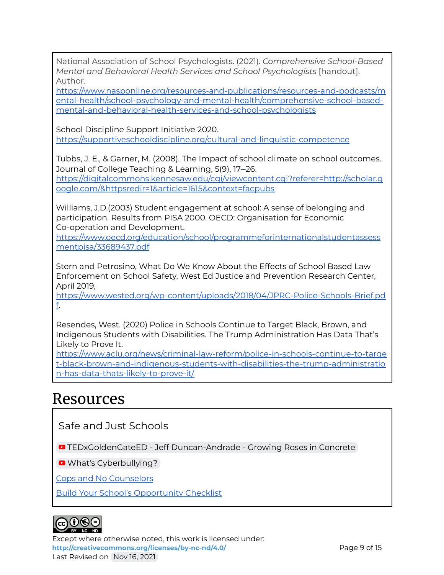National Association of School Psychologists. (2021). *Comprehensive School-Based Mental and Behavioral Health Services and School Psychologists* [handout]. Author.

[https://www.nasponline.org/resources-and-publications/resources-and-podcasts/m](https://www.nasponline.org/resources-and-publications/resources-and-podcasts/mental-health/school-psychology-and-mental-health/comprehensive-school-based-mental-and-behavioral-health-services-and-school-psychologists) [ental-health/school-psychology-and-mental-health/comprehensive-school-based](https://www.nasponline.org/resources-and-publications/resources-and-podcasts/mental-health/school-psychology-and-mental-health/comprehensive-school-based-mental-and-behavioral-health-services-and-school-psychologists)[mental-and-behavioral-health-services-and-school-psychologists](https://www.nasponline.org/resources-and-publications/resources-and-podcasts/mental-health/school-psychology-and-mental-health/comprehensive-school-based-mental-and-behavioral-health-services-and-school-psychologists)

School Discipline Support Initiative 2020. <https://supportiveschooldiscipline.org/cultural-and-linguistic-competence>

Tubbs, J. E., & Garner, M. (2008). The Impact of school climate on school outcomes. Journal of College Teaching & Learning, 5(9), 17–26. [https://digitalcommons.kennesaw.edu/cgi/viewcontent.cgi?referer=http://scholar.g](https://digitalcommons.kennesaw.edu/cgi/viewcontent.cgi?referer=http://scholar.google.com/&httpsredir=1&article=1615&context=facpubs) [oogle.com/&httpsredir=1&article=1615&context=facpubs](https://digitalcommons.kennesaw.edu/cgi/viewcontent.cgi?referer=http://scholar.google.com/&httpsredir=1&article=1615&context=facpubs)

Williams, J.D.(2003) Student engagement at school: A sense of belonging and participation. Results from PISA 2000. OECD: Organisation for Economic Co-operation and Development.

[https://www.oecd.org/education/school/programmeforinternationalstudentassess](https://www.oecd.org/education/school/programmeforinternationalstudentassessmentpisa/33689437.pdf) [mentpisa/33689437.pdf](https://www.oecd.org/education/school/programmeforinternationalstudentassessmentpisa/33689437.pdf)

Stern and Petrosino, What Do We Know About the Effects of School Based Law Enforcement on School Safety, West Ed Justice and Prevention Research Center, April 2019,

[https://www.wested.org/wp-content/uploads/2018/04/JPRC-Police-Schools-Brief.pd](https://www.wested.org/wp-content/uploads/2018/04/JPRC-Police-Schools-Brief.pdf) [f.](https://www.wested.org/wp-content/uploads/2018/04/JPRC-Police-Schools-Brief.pdf)

Resendes, West. (2020) Police in Schools Continue to Target Black, Brown, and Indigenous Students with Disabilities. The Trump Administration Has Data That's Likely to Prove It.

[https://www.aclu.org/news/criminal-law-reform/police-in-schools-continue-to-targe](https://www.aclu.org/news/criminal-law-reform/police-in-schools-continue-to-target-black-brown-and-indigenous-students-with-disabilities-the-trump-administration-has-data-thats-likely-to-prove-it/) [t-black-brown-and-indigenous-students-with-disabilities-the-trump-administratio](https://www.aclu.org/news/criminal-law-reform/police-in-schools-continue-to-target-black-brown-and-indigenous-students-with-disabilities-the-trump-administration-has-data-thats-likely-to-prove-it/) [n-has-data-thats-likely-to-prove-it/](https://www.aclu.org/news/criminal-law-reform/police-in-schools-continue-to-target-black-brown-and-indigenous-students-with-disabilities-the-trump-administration-has-data-thats-likely-to-prove-it/)

### Resources

Safe and Just Schools

**D** [TEDxGoldenGateED](https://www.youtube.com/watch?v=2CwS60ykM8s) - Jeff Duncan-Andrade - Growing Roses in Concrete

**D** What's [Cyberbullying?](https://www.youtube.com/watch?v=6ctd75a7_Yw)

Cops and No [Counselors](https://www.aclu.org/issues/juvenile-justice/school-prison-pipeline/cops-and-no-counselors)

Build Your School's [Opportunity](http://pages.email.nea.org/your-school-checklist/?_ga=2.228116957.1921982853.1623002000-964350190.1610385412) Checklist



Except where otherwise noted, this work is licensed under: <http://creativecommons.org/licenses/by-nc-nd/4.0/><br>
Page 9 of 15 Last Revised on Nov 16, 2021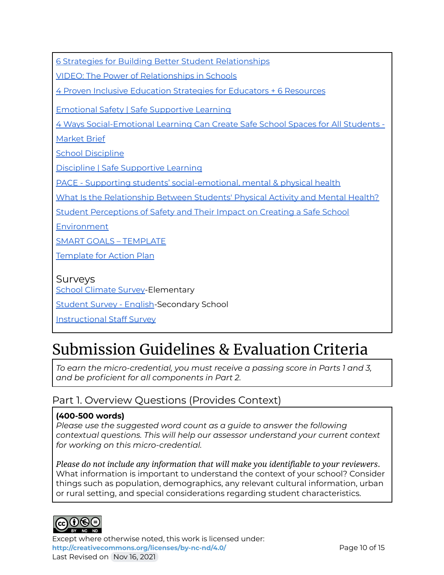6 Strategies for Building Better Student [Relationships](https://www.edutopia.org/article/6-strategies-building-better-student-relationships)

VIDEO: The Power of [Relationships](https://www.edutopia.org/video/power-relationships-schools) in Schools

4 Proven Inclusive [Education](https://onlinedegrees.sandiego.edu/inclusive-education-strategies/) Strategies for Educators + 6 Resources

Emotional Safety | Safe [Supportive](https://safesupportivelearning.ed.gov/topic-research/safety/emotional-safety) Learning

4 Ways [Social-Emotional](https://marketbrief.edweek.org/the-startup-blog/4-ways-social-emotional-learning-can-create-safe-school-spaces-for-students/) Learning Can Create Safe School Spaces for All Students -

[Market](https://marketbrief.edweek.org/the-startup-blog/4-ways-social-emotional-learning-can-create-safe-school-spaces-for-students/) Brief

School [Discipline](https://www.nassp.org/top-issues-in-education/position-statements/school-discipline/)

Discipline | Safe [Supportive](https://safesupportivelearning.ed.gov/topic-research/environment/discipline) Learning

PACE - Supporting students' [social-emotional,](https://edpolicyinca.org/topics/supporting-students-social-emotional-mental-physical-health) mental & physical health

What Is the [Relationship](http://smhp.psych.ucla.edu/pdfdocs/activity.pdf) Between Students' Physical Activity and Mental Health?

Student [Perceptions](https://rems.ed.gov/docs/Student_Perceptions_Safety_Fact_Sheet_508C.pdf) of Safety and Their Impact on Creating a Safe School

**[Environment](https://rems.ed.gov/docs/Student_Perceptions_Safety_Fact_Sheet_508C.pdf)** 

SMART GOALS – [TEMPLATE](https://www.sandiego.edu/hr/documents/STAFFGoals-PerfPlanningGuide1.pdf)

[Template](http://bit.ly/2s3jfvm) for Action Plan

#### Surveys

School [Climate](https://www.state.nj.us/education/students/safety/behavior/njscs/NJSCS_ES_Student_Q.pdf) Survey-Elementary

[Student](https://nces.ed.gov/surveys/edscls/pdf/EDSCLS_Student_Questionnaire_English.pdf) Survey - English-Secondary School

[Instructional](https://nces.ed.gov/surveys/edscls/pdf/EDSCLS_Instructional_Questionnaire.pdf) Staff Survey

# Submission Guidelines & Evaluation Criteria

*To earn the micro-credential, you must receive a passing score in Parts 1 and 3, and be proficient for all components in Part 2.*

### Part 1. Overview Questions (Provides Context)

#### **(400-500 words)**

*Please use the suggested word count as a guide to answer the following contextual questions. This will help our assessor understand your current context for working on this micro-credential.*

*Please do not include any information that will make you identifiable to your reviewers*. What information is important to understand the context of your school? Consider things such as population, demographics, any relevant cultural information, urban or rural setting, and special considerations regarding student characteristics.



Except where otherwise noted, this work is licensed under: **<http://creativecommons.org/licenses/by-nc-nd/4.0/>** Page 10 of 15 Last Revised on Nov 16, 2021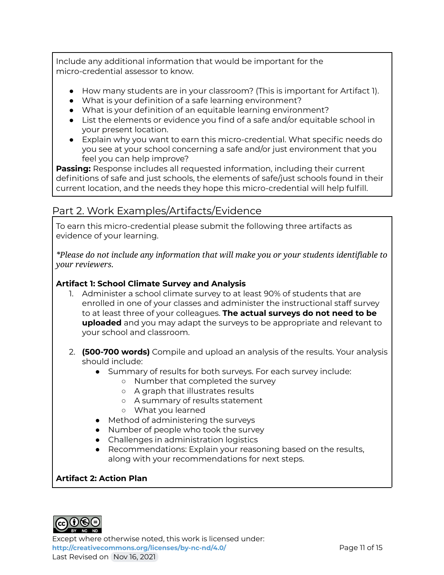Include any additional information that would be important for the micro-credential assessor to know.

- How many students are in your classroom? (This is important for Artifact 1).
- What is your definition of a safe learning environment?
- What is your definition of an equitable learning environment?
- List the elements or evidence you find of a safe and/or equitable school in your present location.
- Explain why you want to earn this micro-credential. What specific needs do you see at your school concerning a safe and/or just environment that you feel you can help improve?

**Passing:** Response includes all requested information, including their current definitions of safe and just schools, the elements of safe/just schools found in their current location, and the needs they hope this micro-credential will help fulfill.

### Part 2. Work Examples/Artifacts/Evidence

To earn this micro-credential please submit the following three artifacts as evidence of your learning.

*\*Please do not include any information that will make you or your students identifiable to your reviewers.*

#### **Artifact 1: School Climate Survey and Analysis**

- 1. Administer a school climate survey to at least 90% of students that are enrolled in one of your classes and administer the instructional staff survey to at least three of your colleagues. **The actual surveys do not need to be uploaded** and you may adapt the surveys to be appropriate and relevant to your school and classroom.
- 2. **(500-700 words)** Compile and upload an analysis of the results. Your analysis should include:
	- Summary of results for both surveys. For each survey include:
		- Number that completed the survey
		- A graph that illustrates results
		- A summary of results statement
		- What you learned
	- Method of administering the surveys
	- Number of people who took the survey
	- Challenges in administration logistics
	- Recommendations: Explain your reasoning based on the results, along with your recommendations for next steps.

#### **Artifact 2: Action Plan**



Except where otherwise noted, this work is licensed under: <http://creativecommons.org/licenses/by-nc-nd/4.0/><br>
Page 11 of 15 Last Revised on Nov 16, 2021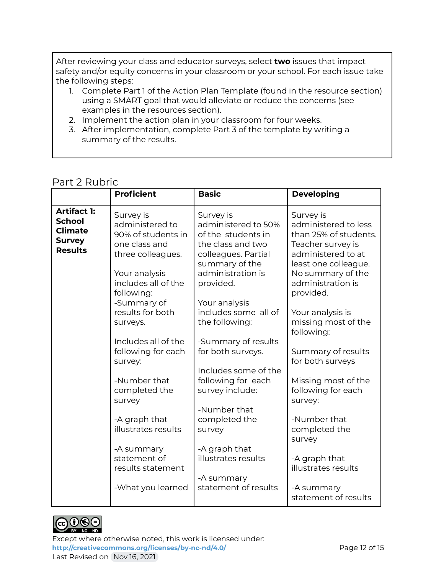After reviewing your class and educator surveys, select **two** issues that impact safety and/or equity concerns in your classroom or your school. For each issue take the following steps:

- 1. Complete Part 1 of the Action Plan Template (found in the resource section) using a SMART goal that would alleviate or reduce the concerns (see examples in the resources section).
- 2. Implement the action plan in your classroom for four weeks.
- 3. After implementation, complete Part 3 of the template by writing a summary of the results.

#### Part 2 Rubric

|                                                                                          | <b>Proficient</b>                                                                                                                                                                             | <b>Basic</b>                                                                                                                                                                                                      | <b>Developing</b>                                                                                                                                                                                                                             |
|------------------------------------------------------------------------------------------|-----------------------------------------------------------------------------------------------------------------------------------------------------------------------------------------------|-------------------------------------------------------------------------------------------------------------------------------------------------------------------------------------------------------------------|-----------------------------------------------------------------------------------------------------------------------------------------------------------------------------------------------------------------------------------------------|
| <b>Artifact 1:</b><br><b>School</b><br><b>Climate</b><br><b>Survey</b><br><b>Results</b> | Survey is<br>administered to<br>90% of students in<br>one class and<br>three colleagues.<br>Your analysis<br>includes all of the<br>following:<br>-Summary of<br>results for both<br>surveys. | Survey is<br>administered to 50%<br>of the students in<br>the class and two<br>colleagues. Partial<br>summary of the<br>administration is<br>provided.<br>Your analysis<br>includes some all of<br>the following: | Survey is<br>administered to less<br>than 25% of students.<br>Teacher survey is<br>administered to at<br>least one colleague.<br>No summary of the<br>administration is<br>provided.<br>Your analysis is<br>missing most of the<br>following: |
|                                                                                          | Includes all of the<br>following for each<br>survey:                                                                                                                                          | -Summary of results<br>for both surveys.                                                                                                                                                                          | Summary of results<br>for both surveys                                                                                                                                                                                                        |
|                                                                                          | -Number that<br>completed the<br>survey                                                                                                                                                       | Includes some of the<br>following for each<br>survey include:<br>-Number that                                                                                                                                     | Missing most of the<br>following for each<br>survey:                                                                                                                                                                                          |
|                                                                                          | -A graph that<br>illustrates results                                                                                                                                                          | completed the<br>survey                                                                                                                                                                                           | -Number that<br>completed the<br>survey                                                                                                                                                                                                       |
|                                                                                          | -A summary<br>statement of<br>results statement                                                                                                                                               | -A graph that<br>illustrates results<br>-A summary                                                                                                                                                                | -A graph that<br>illustrates results                                                                                                                                                                                                          |
|                                                                                          | -What you learned                                                                                                                                                                             | statement of results                                                                                                                                                                                              | -A summary<br>statement of results                                                                                                                                                                                                            |



Except where otherwise noted, this work is licensed under: <http://creativecommons.org/licenses/by-nc-nd/4.0/><br>Page 12 of 15 Last Revised on Nov 16, 2021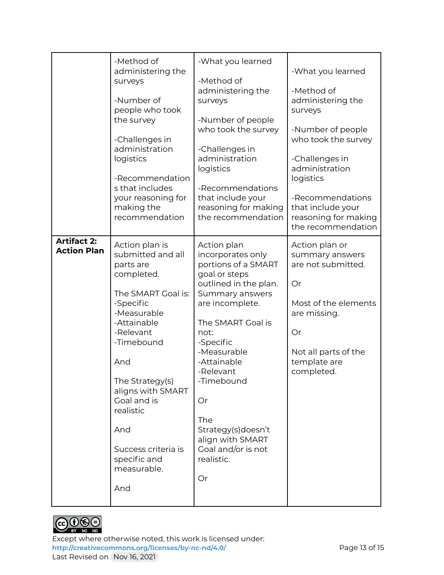|                                          | -Method of<br>administering the<br>surveys<br>-Number of<br>people who took<br>the survey<br>-Challenges in<br>administration<br>logistics<br>-Recommendation<br>s that includes<br>your reasoning for<br>making the<br>recommendation                                                                    | -What you learned<br>-Method of<br>administering the<br>surveys<br>-Number of people<br>who took the survey<br>-Challenges in<br>administration<br>logistics<br>-Recommendations<br>that include your<br>reasoning for making<br>the recommendation                                                                                         | -What you learned<br>-Method of<br>administering the<br>surveys<br>-Number of people<br>who took the survey<br>-Challenges in<br>administration<br>logistics<br>-Recommendations<br>that include your<br>reasoning for making<br>the recommendation |
|------------------------------------------|-----------------------------------------------------------------------------------------------------------------------------------------------------------------------------------------------------------------------------------------------------------------------------------------------------------|---------------------------------------------------------------------------------------------------------------------------------------------------------------------------------------------------------------------------------------------------------------------------------------------------------------------------------------------|-----------------------------------------------------------------------------------------------------------------------------------------------------------------------------------------------------------------------------------------------------|
| <b>Artifact 2:</b><br><b>Action Plan</b> | Action plan is<br>submitted and all<br>parts are<br>completed.<br>The SMART Goal is:<br>-Specific<br>-Measurable<br>-Attainable<br>-Relevant<br>-Timebound<br>And<br>The Strategy(s)<br>aligns with SMART<br>Goal and is<br>realistic<br>And<br>Success criteria is<br>specific and<br>measurable.<br>And | Action plan<br>incorporates only<br>portions of a SMART<br>goal or steps<br>outlined in the plan.<br>Summary answers<br>are incomplete.<br>The SMART Goal is<br>not:<br>-Specific<br>-Measurable<br>-Attainable<br>-Relevant<br>-Timebound<br>Or<br>The<br>Strategy(s)doesn't<br>align with SMART<br>Goal and/or is not<br>realistic.<br>Or | Action plan or<br>summary answers<br>are not submitted.<br>Or<br>Most of the elements<br>are missing.<br>Or<br>Not all parts of the<br>template are<br>completed.                                                                                   |



Except where otherwise noted, this work is licensed under: <http://creativecommons.org/licenses/by-nc-nd/4.0/><br>Page 13 of 15 Last Revised on Nov 16, 2021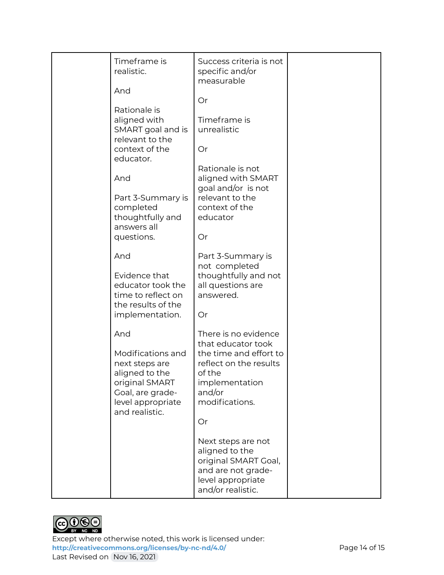| Timeframe is<br>realistic.<br>And                                                                                                  | Success criteria is not<br>specific and/or<br>measurable                                                                       |  |
|------------------------------------------------------------------------------------------------------------------------------------|--------------------------------------------------------------------------------------------------------------------------------|--|
|                                                                                                                                    | Or                                                                                                                             |  |
| Rationale is<br>aligned with<br>SMART goal and is<br>relevant to the                                                               | Timeframe is<br>unrealistic                                                                                                    |  |
| context of the<br>educator.                                                                                                        | Or                                                                                                                             |  |
| And                                                                                                                                | Rationale is not<br>aligned with SMART<br>goal and/or is not                                                                   |  |
| Part 3-Summary is<br>completed<br>thoughtfully and<br>answers all                                                                  | relevant to the<br>context of the<br>educator                                                                                  |  |
| questions.                                                                                                                         | Or                                                                                                                             |  |
| And                                                                                                                                | Part 3-Summary is<br>not completed                                                                                             |  |
| Evidence that<br>educator took the<br>time to reflect on<br>the results of the<br>implementation.                                  | thoughtfully and not<br>all questions are<br>answered.<br>Or                                                                   |  |
| And                                                                                                                                | There is no evidence                                                                                                           |  |
| Modifications and<br>next steps are<br>aligned to the<br>original SMART<br>Goal, are grade-<br>level appropriate<br>and realistic. | that educator took<br>the time and effort to<br>reflect on the results<br>of the<br>implementation<br>and/or<br>modifications. |  |
|                                                                                                                                    | Or                                                                                                                             |  |
|                                                                                                                                    | Next steps are not<br>aligned to the<br>original SMART Goal,<br>and are not grade-<br>level appropriate<br>and/or realistic.   |  |



Except where otherwise noted, this work is licensed under: <http://creativecommons.org/licenses/by-nc-nd/4.0/><br>Page 14 of 15 Last Revised on Nov 16, 2021